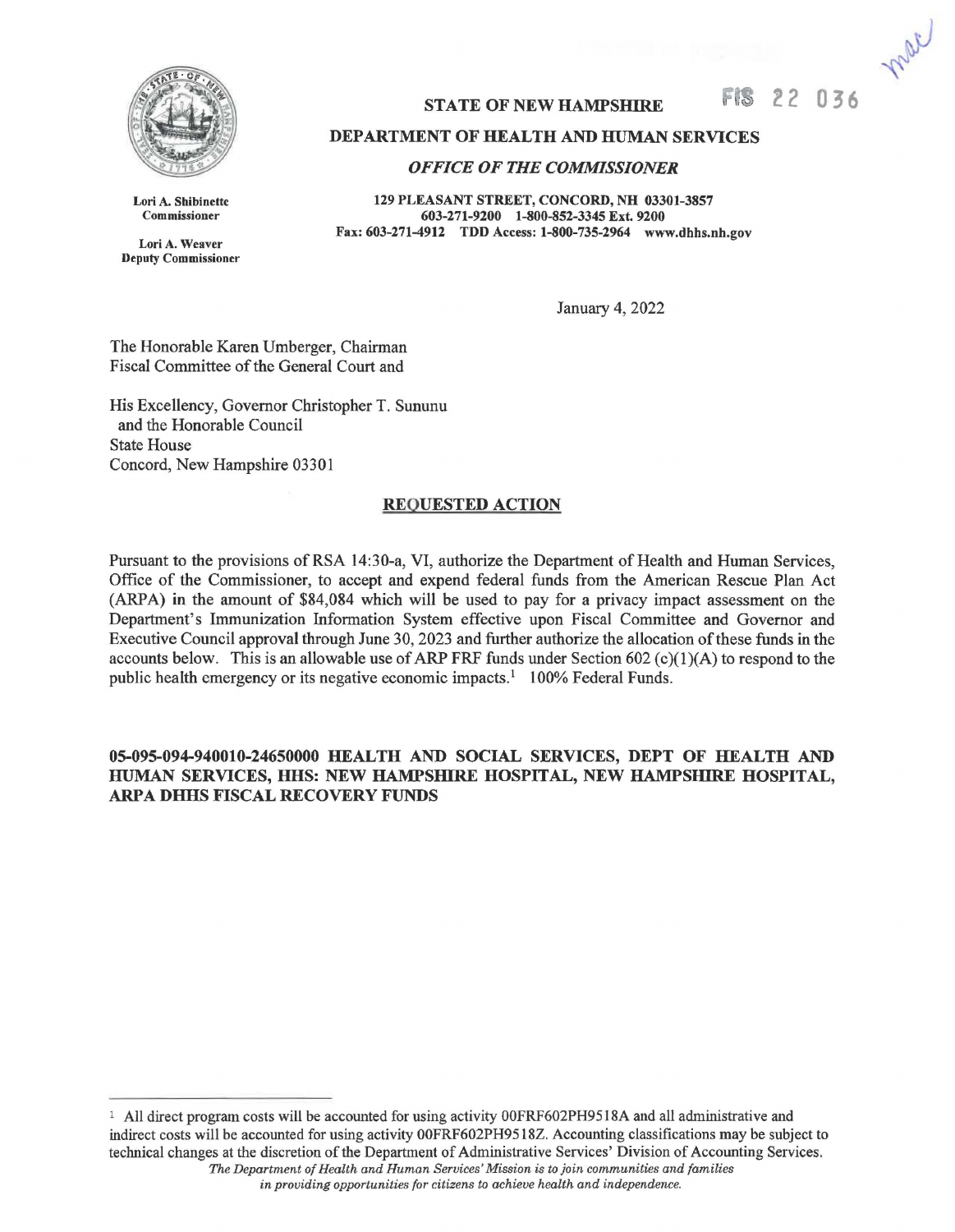

Lori A. Shibinette Commissioner Lori A. Weaver Deputy Commissioner **FIS 22 0 36** 

## **DEPARTMENT OF HEALTH AND HUMAN SERVICES**

**STATE OF NEW HAMPSHIRE** 

## *OFFICE OF THE COMMISSIONER*

**129 PLEASANT STREET, CONCORD, NH 03301-3857**  603-271-9200 1-800-852-3345 Ext. 9200 **Fax: 603-271-4912 TDD Access: 1-800-735-2964 www.dhhs.nh.gov** 

January 4, 2022

The Honorable Karen Umberger, Chairman Fiscal Committee of the General Court and

His Excellency, Governor Christopher T. Sununu and the Honorable Council State House Concord, New Hampshire 03301

## **REQUESTED ACTION**

Pursuant to the provisions of RSA 14:30-a, VI, authorize the Department of Health and Human Services, Office of the Commissioner, to accept and expend federal funds from the American Rescue Plan Act (ARP **A) in** the amount of \$84,084 which will be used to pay for a privacy impact assessment on the Department's Immunization Information System effective upon Fiscal Committee and Governor and Executive Council approval through June 30, 2023 and further authorize the allocation of these funds in the accounts below. This is an allowable use of ARP FRF funds under Section 602 (c)(1)(A) to respond to the public health emergency or its negative economic impacts.<sup>1</sup> 100% Federal Funds.

**05-095-094-940010-24650000 HEALTH AND SOCIAL SERVICES, DEPT OF HEALTH AND HUMAN SERVICES, HHS: NEW HAMPSHIRE HOSPITAL, NEW HAMPSHIRE HOSPITAL, ARPA DHHS FISCAL RECOVERY FUNDS** 

<sup>&</sup>lt;sup>1</sup> All direct program costs will be accounted for using activity 00FRF602PH9518A and all administrative and indirect costs will be accounted for using activity 00FRF602PH9518Z. Accounting classifications may be subject to technical changes at the discretion of the Department of Administrative Services' Division of Accounting Services. *The Department of Health and Human Services' Mission is to join communities and families* 

*in providing opportunities for citizens to achieve health and independence.*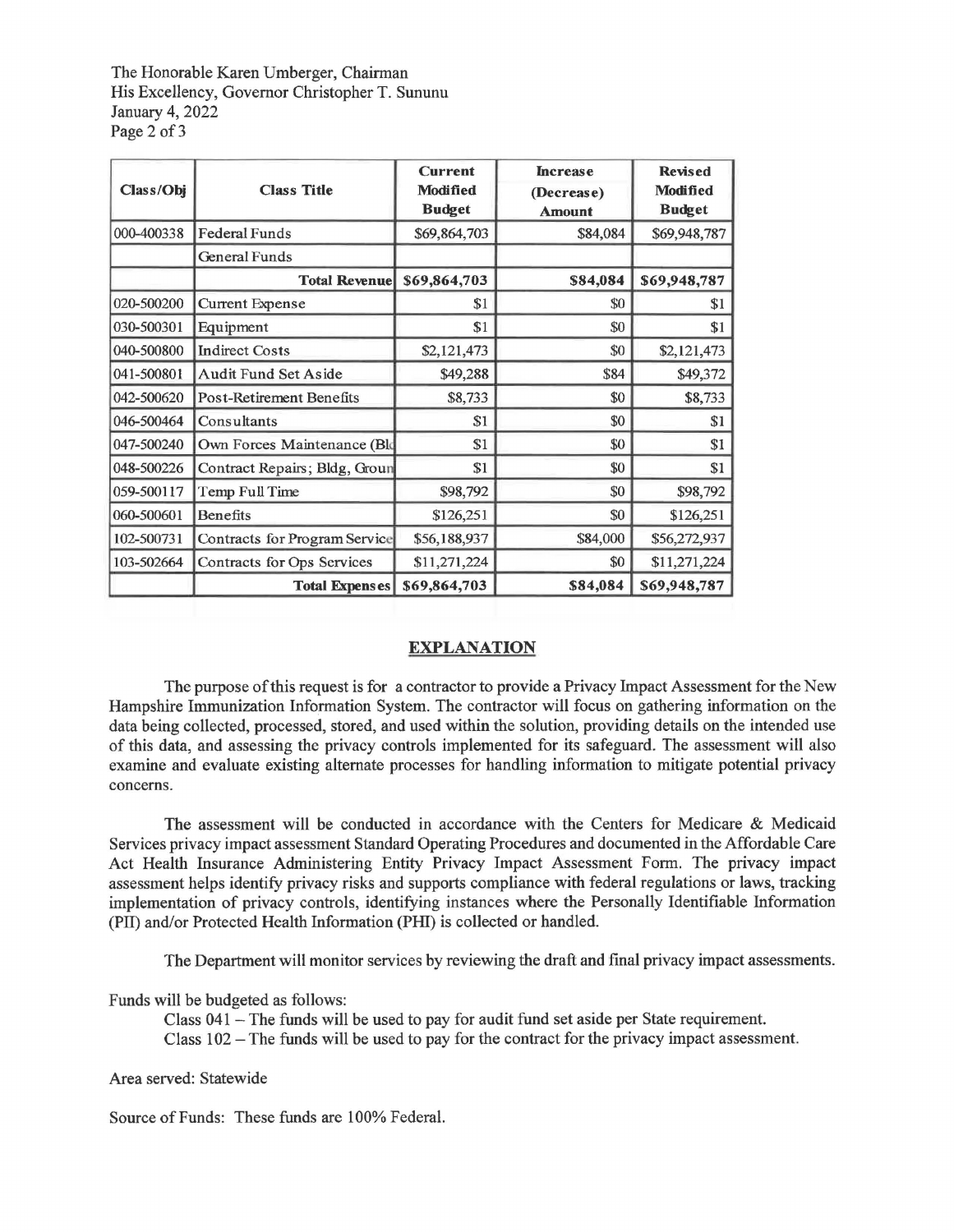The Honorable Karen Umberger, Chairman His Excellency, Governor Christopher T. Sununu January 4, 2022 Page 2 of 3

| Class/Obj  | <b>Class Title</b>            | <b>Current</b><br><b>Modified</b><br><b>Budget</b> | <b>Increase</b><br>(Decrease)<br><b>Amount</b> | <b>Revised</b><br><b>Modified</b><br><b>Budget</b> |
|------------|-------------------------------|----------------------------------------------------|------------------------------------------------|----------------------------------------------------|
| 000-400338 | <b>Federal Funds</b>          | \$69,864,703                                       | \$84,084                                       | \$69,948,787                                       |
|            | General Funds                 |                                                    |                                                |                                                    |
|            | <b>Total Revenue</b>          | \$69,864,703                                       | \$84,084                                       | \$69,948,787                                       |
| 020-500200 | <b>Current Expense</b>        | \$1                                                | \$0                                            | \$1                                                |
| 030-500301 | Equipment                     | \$1                                                | \$0                                            | \$1                                                |
| 040-500800 | <b>Indirect Costs</b>         | \$2,121,473                                        | \$0                                            | \$2,121,473                                        |
| 041-500801 | Audit Fund Set Aside          | \$49,288                                           | \$84                                           | \$49,372                                           |
| 042-500620 | Post-Retirement Benefits      | \$8,733                                            | \$0                                            | \$8,733                                            |
| 046-500464 | Consultants                   | \$1                                                | \$0                                            | \$1                                                |
| 047-500240 | Own Forces Maintenance (Bld   | \$1                                                | \$0                                            | \$1                                                |
| 048-500226 | Contract Repairs; Bldg, Groun | \$1                                                | \$0                                            | \$1                                                |
| 059-500117 | Temp Full Time                | \$98,792                                           | \$0                                            | \$98,792                                           |
| 060-500601 | <b>Benefits</b>               | \$126,251                                          | \$0                                            | \$126,251                                          |
| 102-500731 | Contracts for Program Service | \$56,188,937                                       | \$84,000                                       | \$56,272,937                                       |
| 103-502664 | Contracts for Ops Services    | \$11,271,224                                       | \$0                                            | \$11,271,224                                       |
|            | <b>Total Expenses</b>         | \$69,864,703                                       | \$84,084                                       | \$69,948,787                                       |

## **EXPLANATION**

The purpose of this request is for a contractor to provide a Privacy Impact Assessment for the New Hampshire Immunization Information System. The contractor will focus on gathering information on the data being collected, processed, stored, and used within the solution, providing details on the intended use of this data, and assessing the privacy controls implemented for its safeguard. The assessment will also examine and evaluate existing alternate processes for handling information to mitigate potential privacy concerns.

The assessment will be conducted in accordance with the Centers for Medicare & Medicaid Services privacy impact assessment Standard Operating Procedures and documented in the Affordable Care Act Health Insurance Administering Entity Privacy Impact Assessment Form. The privacy impact assessment helps identify privacy risks and supports compliance with federal regulations or laws, tracking implementation of privacy controls, identifying instances where the Personally Identifiable Information (PII) and/or Protected Health Information (PHI) is collected or handled.

The Department will monitor services by reviewing the draft and final privacy impact assessments.

Funds will be budgeted as follows:

Class 041 - The funds will be used to pay for audit fund set aside per State requirement. Class 102 - The funds will be used to pay for the contract for the privacy impact assessment.

Area served: Statewide

Source of Funds: These funds are 100% Federal.